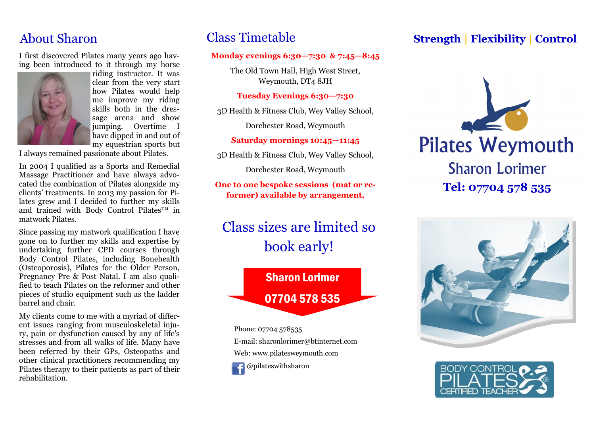I first discovered Pilates many years ago having been introduced to it through my horse



riding instructor. It was clear from the very start how Pilates would help me improve my riding skills both in the dressage arena and show jumping. Overtime I have dipped in and out of my equestrian sports but

I always remained passionate about Pilates.

In 2004 I qualified as a Sports and Remedial Massage Practitioner and have always advocated the combination of Pilates alongside my clients' treatments. In 2013 my passion for Pilates grew and I decided to further my skills and trained with Body Control Pilates™ in matwork Pilates.

Since passing my matwork qualification I have gone on to further my skills and expertise by undertaking further CPD courses through Body Control Pilates, including Bonehealth (Osteoporosis), Pilates for the Older Person, Pregnancy Pre & Post Natal. I am also qualified to teach Pilates on the reformer and other pieces of studio equipment such as the ladder barrel and chair.

My clients come to me with a myriad of different issues ranging from musculoskeletal injury, pain or dysfunction caused by any of life's stresses and from all walks of life. Many have been referred by their GPs, Osteopaths and other clinical practitioners recommending my Pilates therapy to their patients as part of their rehabilitation.

## Class Timetable

#### **Monday evenings 6:30—7:30 & 7:45—8:45**

The Old Town Hall, High West Street, Weymouth, DT4 8JH

#### **Tuesday Evenings 6:30—7:30**

3D Health & Fitness Club, Wey Valley School,

Dorchester Road, Weymouth

#### **Saturday mornings 10:45—11:45**

3D Health & Fitness Club, Wey Valley School,

Dorchester Road, Weymouth

**One to one bespoke sessions (mat or reformer) available by arrangement,** 

# Class sizes are limited so book early!

# Sharon Lorimer 07704 578 535

Phone: 07704 578535 E-mail: sharonlorimer@btinternet.com Web: www.pilatesweymouth.com @pilateswithsharon